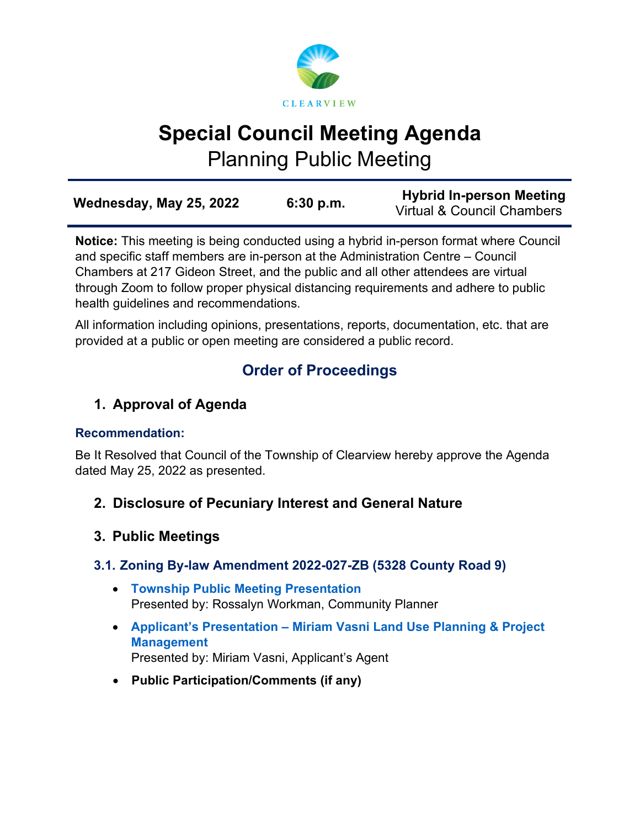

# **Special Council Meeting Agenda**

Planning Public Meeting

| Wednesday, May 25, 2022 | 6:30 p.m. | <b>Hybrid In-person Meeting</b><br><b>Virtual &amp; Council Chambers</b> |
|-------------------------|-----------|--------------------------------------------------------------------------|
|                         |           |                                                                          |

**Notice:** This meeting is being conducted using a hybrid in-person format where Council and specific staff members are in-person at the Administration Centre – Council Chambers at 217 Gideon Street, and the public and all other attendees are virtual through Zoom to follow proper physical distancing requirements and adhere to public health guidelines and recommendations.

All information including opinions, presentations, reports, documentation, etc. that are provided at a public or open meeting are considered a public record.

# **Order of Proceedings**

# **1. Approval of Agenda**

# **Recommendation:**

Be It Resolved that Council of the Township of Clearview hereby approve the Agenda dated May 25, 2022 as presented.

- **2. Disclosure of Pecuniary Interest and General Nature**
- **3. Public Meetings**

# **3.1. Zoning By-law Amendment 2022-027-ZB (5328 County Road 9)**

- **[Township Public Meeting Presentation](https://www.clearview.ca/sites/default/files/uploads/publications/3.4_file_2022-027-zb_-_5328_cty_rd_9_township_presentation.pdf)** Presented by: Rossalyn Workman, Community Planner
- **Applicant's Presentation – [Miriam Vasni Land Use Planning & Project](https://www.clearview.ca/sites/default/files/uploads/publications/3.4_file_2022-027-zb_-_5328_cty_rd_9_applicant_presentation.pdf)  [Management](https://www.clearview.ca/sites/default/files/uploads/publications/3.4_file_2022-027-zb_-_5328_cty_rd_9_applicant_presentation.pdf)** Presented by: Miriam Vasni, Applicant's Agent
- **Public Participation/Comments (if any)**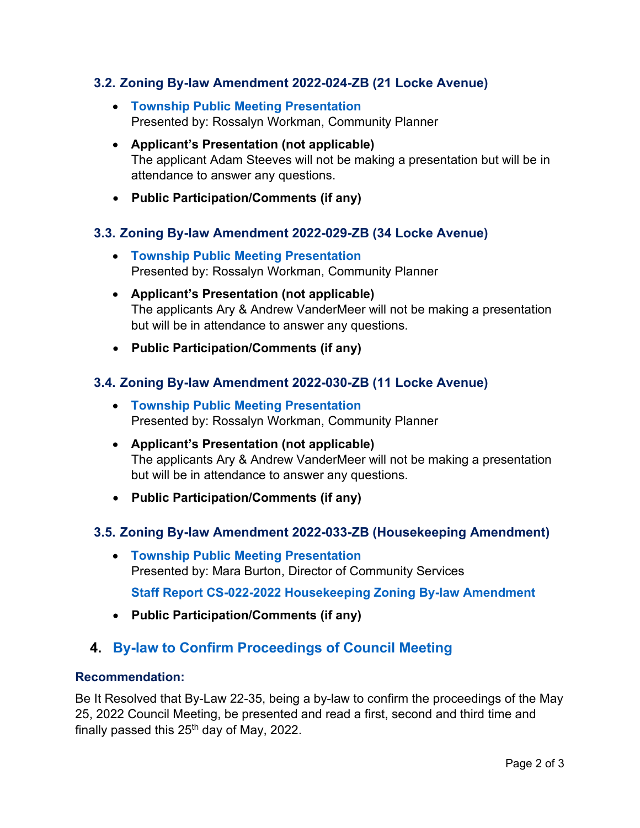#### **3.2. Zoning By-law Amendment 2022-024-ZB (21 Locke Avenue)**

- **[Township Public Meeting Presentation](https://www.clearview.ca/sites/default/files/uploads/publications/3.1_file_2022-024-zb_-_21_locke_township_presentation.pdf)** Presented by: Rossalyn Workman, Community Planner
- **Applicant's Presentation (not applicable)** The applicant Adam Steeves will not be making a presentation but will be in attendance to answer any questions.
- **Public Participation/Comments (if any)**

#### **3.3. Zoning By-law Amendment 2022-029-ZB (34 Locke Avenue)**

- **[Township Public Meeting Presentation](https://www.clearview.ca/sites/default/files/uploads/publications/3.2_file_2022-029-zb_-_34_locke_township_presentation.pdf)** Presented by: Rossalyn Workman, Community Planner
- **Applicant's Presentation (not applicable)** The applicants Ary & Andrew VanderMeer will not be making a presentation but will be in attendance to answer any questions.
- **Public Participation/Comments (if any)**

#### **3.4. Zoning By-law Amendment 2022-030-ZB (11 Locke Avenue)**

- **[Township Public Meeting Presentation](https://www.clearview.ca/sites/default/files/uploads/publications/3.3_file_2022-030-zb_-_11_locke_township_presentation.pdf)** Presented by: Rossalyn Workman, Community Planner
- **Applicant's Presentation (not applicable)** The applicants Ary & Andrew VanderMeer will not be making a presentation but will be in attendance to answer any questions.
- **Public Participation/Comments (if any)**

#### **3.5. Zoning By-law Amendment 2022-033-ZB (Housekeeping Amendment)**

• **[Township Public Meeting Presentation](https://www.clearview.ca/sites/default/files/uploads/publications/3.5_file_2022-033-zb_housekeeping_amendment_township_presentation.pdf)** Presented by: Mara Burton, Director of Community Services

**[Staff Report CS-022-2022 Housekeeping Zoning By-law Amendment](https://www.clearview.ca/sites/default/files/uploads/publications/cs-022-2022_-_housekeeping_zoning_by-law_amendment_2022_pm_report_1.pdf)**

• **Public Participation/Comments (if any)**

# **4. [By-law to Confirm Proceedings of Council Meeting](https://www.clearview.ca/sites/default/files/uploads/publications/22-35_confirm_proceedings_may_25_2022.pdf)**

#### **Recommendation:**

Be It Resolved that By-Law 22-35, being a by-law to confirm the proceedings of the May 25, 2022 Council Meeting, be presented and read a first, second and third time and finally passed this  $25<sup>th</sup>$  day of May, 2022.